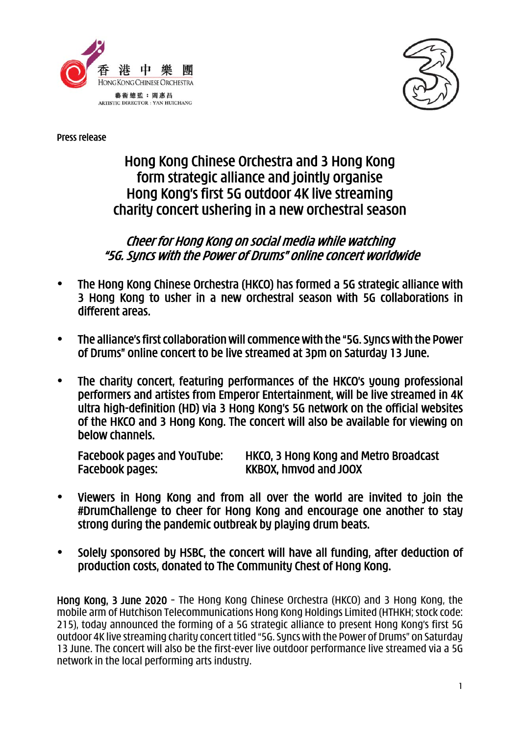



Press release

# Hong Kong Chinese Orchestra and 3 Hong Kong form strategic alliance and jointly organise Hong Kong's first 5G outdoor 4K live streaming charity concert ushering in a new orchestral season

## Cheer for Hong Kong on social media while watching "5G. Syncs with the Power of Drums" online concert worldwide

- The Hong Kong Chinese Orchestra (HKCO) has formed a 5G strategic alliance with 3 Hong Kong to usher in a new orchestral season with 5G collaborations in different areas.
- The alliance's first collaboration will commence with the "5G. Syncs with the Power of Drums" online concert to be live streamed at 3pm on Saturday 13 June.
- The charity concert, featuring performances of the HKCO's young professional performers and artistes from Emperor Entertainment, will be live streamed in 4K ultra high-definition (HD) via 3 Hong Kong's 5G network on the official websites of the HKCO and 3 Hong Kong. The concert will also be available for viewing on below channels.

Facebook pages and YouTube: HKCO, 3 Hong Kong and Metro Broadcast Facebook pages: KKBOX, hmvod and JOOX

- Viewers in Hong Kong and from all over the world are invited to join the #DrumChallenge to cheer for Hong Kong and encourage one another to stay strong during the pandemic outbreak by playing drum beats.
- Solely sponsored by HSBC, the concert will have all funding, after deduction of production costs, donated to The Community Chest of Hong Kong.

Hong Kong, 3 June 2020 – The Hong Kong Chinese Orchestra (HKCO) and 3 Hong Kong, the mobile arm of Hutchison Telecommunications Hong Kong Holdings Limited (HTHKH; stock code: 215), today announced the forming of a 5G strategic alliance to present Hong Kong's first 5G outdoor 4K live streaming charity concert titled "5G. Syncs with the Power of Drums" on Saturday 13 June. The concert will also be the first-ever live outdoor performance live streamed via a 5G network in the local performing arts industry.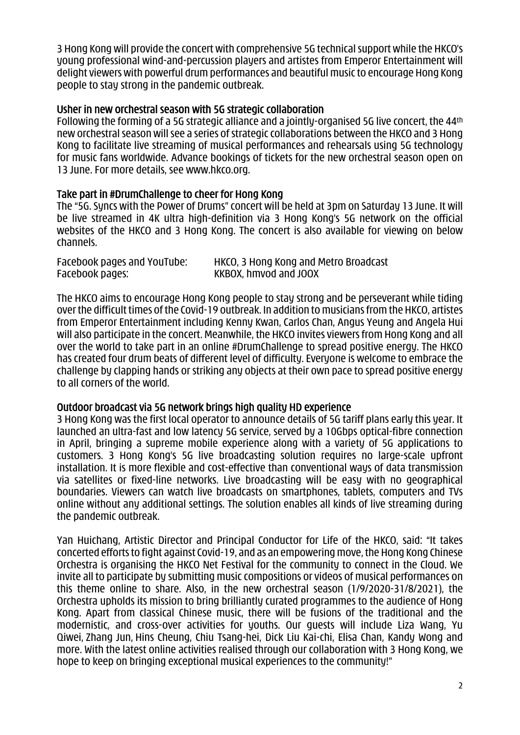3 Hong Kong will provide the concert with comprehensive 5G technical support while the HKCO's young professional wind-and-percussion players and artistes from Emperor Entertainment will delight viewers with powerful drum performances and beautiful music to encourage Hong Kong people to stay strong in the pandemic outbreak.

## Usher in new orchestral season with 5G strategic collaboration

Following the forming of a 5G strategic alliance and a jointly-organised 5G live concert, the 44th new orchestral season will see a series of strategic collaborations between the HKCO and 3 Hong Kong to facilitate live streaming of musical performances and rehearsals using 5G technology for music fans worldwide. Advance bookings of tickets for the new orchestral season open on 13 June. For more details, see www.hkco.org.

## Take part in #DrumChallenge to cheer for Hong Kong

The "5G. Syncs with the Power of Drums" concert will be held at 3pm on Saturday 13 June. It will be live streamed in 4K ultra high-definition via 3 Hong Kong's 5G network on the official websites of the HKCO and 3 Hong Kong. The concert is also available for viewing on below channels.

| Facebook pages and YouTube: | HKCO, 3 Hong Kong and Metro Broadcast |
|-----------------------------|---------------------------------------|
| Facebook pages:             | KKBOX, hmvod and JOOX                 |

The HKCO aims to encourage Hong Kong people to stay strong and be perseverant while tiding over the difficult times of the Covid-19 outbreak. In addition to musicians from the HKCO, artistes from Emperor Entertainment including Kenny Kwan, Carlos Chan, Angus Yeung and Angela Hui will also participate in the concert. Meanwhile, the HKCO invites viewers from Hong Kong and all over the world to take part in an online #DrumChallenge to spread positive energy. The HKCO has created four drum beats of different level of difficulty. Everyone is welcome to embrace the challenge by clapping hands or striking any objects at their own pace to spread positive energy to all corners of the world.

## Outdoor broadcast via 5G network brings high quality HD experience

3 Hong Kong was the first local operator to announce details of 5G tariff plans early this year. It launched an ultra-fast and low latency 5G service, served by a 10Gbps optical-fibre connection in April, bringing a supreme mobile experience along with a variety of 5G applications to customers. 3 Hong Kong's 5G live broadcasting solution requires no large-scale upfront installation. It is more flexible and cost-effective than conventional ways of data transmission via satellites or fixed-line networks. Live broadcasting will be easy with no geographical boundaries. Viewers can watch live broadcasts on smartphones, tablets, computers and TVs online without any additional settings. The solution enables all kinds of live streaming during the pandemic outbreak.

Yan Huichang, Artistic Director and Principal Conductor for Life of the HKCO, said: "It takes concerted efforts to fight against Covid-19, and as an empowering move, the Hong Kong Chinese Orchestra is organising the HKCO Net Festival for the community to connect in the Cloud. We invite all to participate by submitting music compositions or videos of musical performances on this theme online to share. Also, in the new orchestral season (1/9/2020-31/8/2021), the Orchestra upholds its mission to bring brilliantly curated programmes to the audience of Hong Kong. Apart from classical Chinese music, there will be fusions of the traditional and the modernistic, and cross-over activities for youths. Our guests will include Liza Wang, Yu Qiwei, Zhang Jun, Hins Cheung, Chiu Tsang-hei, Dick Liu Kai-chi, Elisa Chan, Kandy Wong and more. With the latest online activities realised through our collaboration with 3 Hong Kong, we hope to keep on bringing exceptional musical experiences to the community!"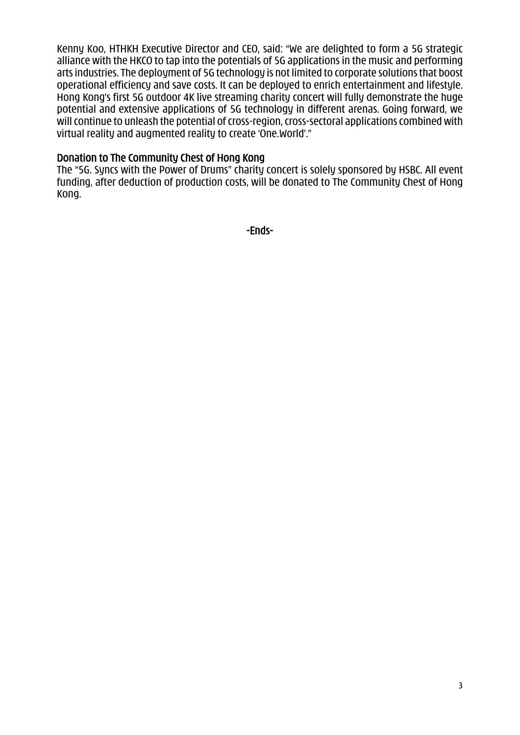Kenny Koo, HTHKH Executive Director and CEO, said: "We are delighted to form a 5G strategic alliance with the HKCO to tap into the potentials of 5G applications in the music and performing arts industries. The deployment of 5G technology is not limited to corporate solutions that boost operational efficiency and save costs. It can be deployed to enrich entertainment and lifestyle. Hong Kong's first 5G outdoor 4K live streaming charity concert will fully demonstrate the huge potential and extensive applications of 5G technology in different arenas. Going forward, we will continue to unleash the potential of cross-region, cross-sectoral applications combined with virtual reality and augmented reality to create 'One.World'."

### Donation to The Community Chest of Hong Kong

The "5G. Syncs with the Power of Drums" charity concert is solely sponsored by HSBC. All event funding, after deduction of production costs, will be donated to The Community Chest of Hong Kong.

-Ends-